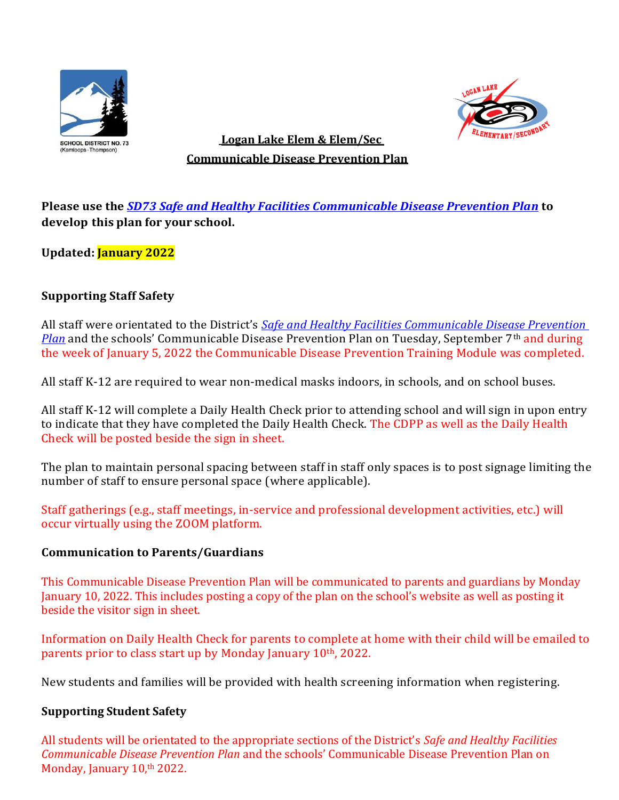



# **EXEMPLE TO EXECUTE ADDED**<br> **EXEMPLE ELEM & ELEM/SEC**<br> **EXEMPLE EXECUTE: Communicable Disease Prevention Plan**

**Please use the** *[SD73 Safe and Healthy Facilities Communicable Disease Prevention Plan](file:///C:/Users/JBlakley/AppData/Local/Microsoft/Windows/INetCache/Content.Outlook/0HUTSFZ9/SD73%20CDPP%20Safe%20and%20Healthy%20Facilities%20Sept%201,%202021.pdf)* **to develop this plan for your school.**

**Updated: January 2022**

## **Supporting Staff Safety**

All staff were orientated to the District's *[Safe and Healthy Facilities Communicable Disease Prevention](file:///C:/Users/JBlakley/AppData/Local/Microsoft/Windows/INetCache/Content.Outlook/0HUTSFZ9/SD73%20CDPP%20Safe%20and%20Healthy%20Facilities%20Sept%201,%202021.pdf)  [Plan](file:///C:/Users/JBlakley/AppData/Local/Microsoft/Windows/INetCache/Content.Outlook/0HUTSFZ9/SD73%20CDPP%20Safe%20and%20Healthy%20Facilities%20Sept%201,%202021.pdf)* and the schools' Communicable Disease Prevention Plan on Tuesday, September 7<sup>th</sup> and during the week of January 5, 2022 the Communicable Disease Prevention Training Module was completed.

All staff K-12 are required to wear non-medical masks indoors, in schools, and on school buses.

All staff K-12 will complete a Daily Health Check prior to attending school and will sign in upon entry to indicate that they have completed the Daily Health Check. The CDPP as well as the Daily Health Check will be posted beside the sign in sheet.

The plan to maintain personal spacing between staff in staff only spaces is to post signage limiting the number of staff to ensure personal space (where applicable).

Staff gatherings (e.g., staff meetings, in-service and professional development activities, etc.) will occur virtually using the ZOOM platform.

#### **Communication to Parents/Guardians**

This Communicable Disease Prevention Plan will be communicated to parents and guardians by Monday January 10, 2022. This includes posting a copy of the plan on the school's website as well as posting it beside the visitor sign in sheet.

Information on Daily Health Check for parents to complete at home with their child will be emailed to parents prior to class start up by Monday January 10<sup>th</sup>, 2022.

New students and families will be provided with health screening information when registering.

#### **Supporting Student Safety**

All students will be orientated to the appropriate sections of the District's *Safe and Healthy Facilities Communicable Disease Prevention Plan* and the schools' Communicable Disease Prevention Plan on Monday, January 10,<sup>th</sup> 2022.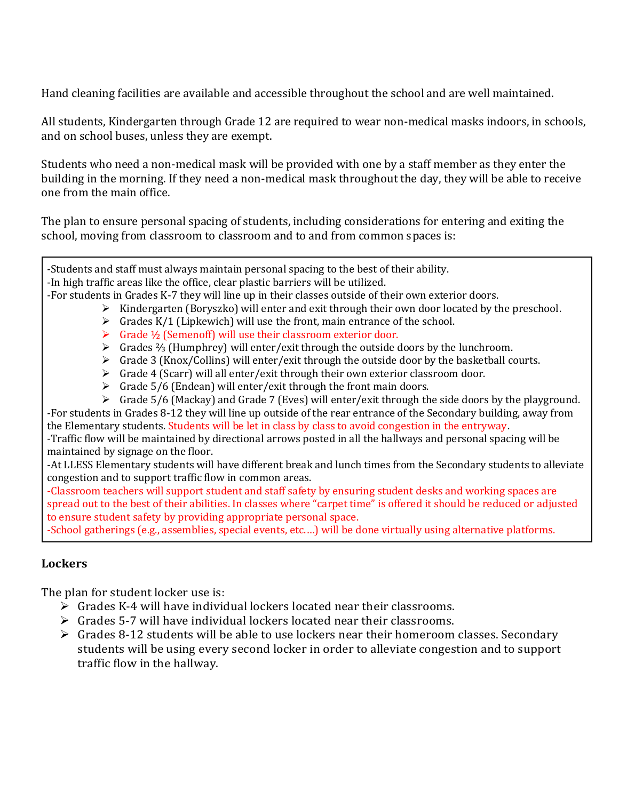Hand cleaning facilities are available and accessible throughout the school and are well maintained.

All students, Kindergarten through Grade 12 are required to wear non-medical masks indoors, in schools, and on school buses, unless they are exempt.

Students who need a non-medical mask will be provided with one by a staff member as they enter the building in the morning. If they need a non-medical mask throughout the day, they will be able to receive one from the main office.

The plan to ensure personal spacing of students, including considerations for entering and exiting the school, moving from classroom to classroom and to and from common spaces is:

-Students and staff must always maintain personal spacing to the best of their ability.

-In high traffic areas like the office, clear plastic barriers will be utilized.

-For students in Grades K-7 they will line up in their classes outside of their own exterior doors.

- $\triangleright$  Kindergarten (Boryszko) will enter and exit through their own door located by the preschool.
- $\triangleright$  Grades K/1 (Lipkewich) will use the front, main entrance of the school.
- ➢ Grade ½ (Semenoff) will use their classroom exterior door.
- ➢ Grades ⅔ (Humphrey) will enter/exit through the outside doors by the lunchroom.
- $\triangleright$  Grade 3 (Knox/Collins) will enter/exit through the outside door by the basketball courts.
- $\triangleright$  Grade 4 (Scarr) will all enter/exit through their own exterior classroom door.
- $\triangleright$  Grade 5/6 (Endean) will enter/exit through the front main doors.
- ➢ Grade 5/6 (Mackay) and Grade 7 (Eves) will enter/exit through the side doors by the playground. -For students in Grades 8-12 they will line up outside of the rear entrance of the Secondary building, away from

the Elementary students. Students will be let in class by class to avoid congestion in the entryway. -Traffic flow will be maintained by directional arrows posted in all the hallways and personal spacing will be maintained by signage on the floor.

-At LLESS Elementary students will have different break and lunch times from the Secondary students to alleviate congestion and to support traffic flow in common areas.

-Classroom teachers will support student and staff safety by ensuring student desks and working spaces are spread out to the best of their abilities. In classes where "carpet time" is offered it should be reduced or adjusted to ensure student safety by providing appropriate personal space.

-School gatherings (e.g., assemblies, special events, etc.…) will be done virtually using alternative platforms.

## **Lockers**

The plan for student locker use is:

- ➢ Grades K-4 will have individual lockers located near their classrooms.
- $\triangleright$  Grades 5-7 will have individual lockers located near their classrooms.
- $\triangleright$  Grades 8-12 students will be able to use lockers near their homeroom classes. Secondary students will be using every second locker in order to alleviate congestion and to support traffic flow in the hallway.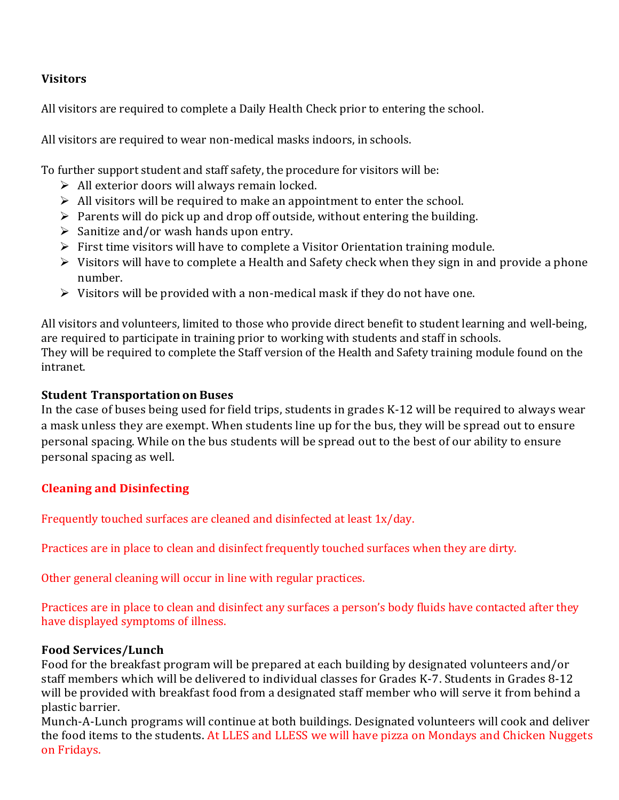#### **Visitors**

All visitors are required to complete a Daily Health Check prior to entering the school.

All visitors are required to wear non-medical masks indoors, in schools.

To further support student and staff safety, the procedure for visitors will be:

- $\triangleright$  All exterior doors will always remain locked.
- $\triangleright$  All visitors will be required to make an appointment to enter the school.
- ➢ Parents will do pick up and drop off outside, without entering the building.
- ➢ Sanitize and/or wash hands upon entry.
- ➢ First time visitors will have to complete a Visitor Orientation training module.
- ➢ Visitors will have to complete a Health and Safety check when they sign in and provide a phone number.
- $\triangleright$  Visitors will be provided with a non-medical mask if they do not have one.

All visitors and volunteers, limited to those who provide direct benefit to student learning and well-being, are required to participate in training prior to working with students and staff in schools. They will be required to complete the Staff version of the Health and Safety training module found on the intranet.

### **Student Transportation on Buses**

In the case of buses being used for field trips, students in grades K-12 will be required to always wear a mask unless they are exempt. When students line up for the bus, they will be spread out to ensure personal spacing. While on the bus students will be spread out to the best of our ability to ensure personal spacing as well.

## **Cleaning and Disinfecting**

Frequently touched surfaces are cleaned and disinfected at least 1x/day.

Practices are in place to clean and disinfect frequently touched surfaces when they are dirty.

Other general cleaning will occur in line with regular practices.

Practices are in place to clean and disinfect any surfaces a person's body fluids have contacted after they have displayed symptoms of illness.

#### **Food Services/Lunch**

Food for the breakfast program will be prepared at each building by designated volunteers and/or staff members which will be delivered to individual classes for Grades K-7. Students in Grades 8-12 will be provided with breakfast food from a designated staff member who will serve it from behind a plastic barrier.

Munch-A-Lunch programs will continue at both buildings. Designated volunteers will cook and deliver the food items to the students. At LLES and LLESS we will have pizza on Mondays and Chicken Nuggets on Fridays.